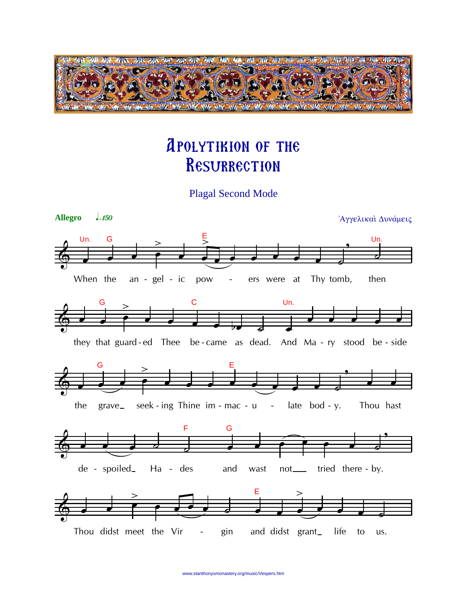

## **APOLYTIKION OF THE** RESURRECTION

**Plagal Second Mode** 

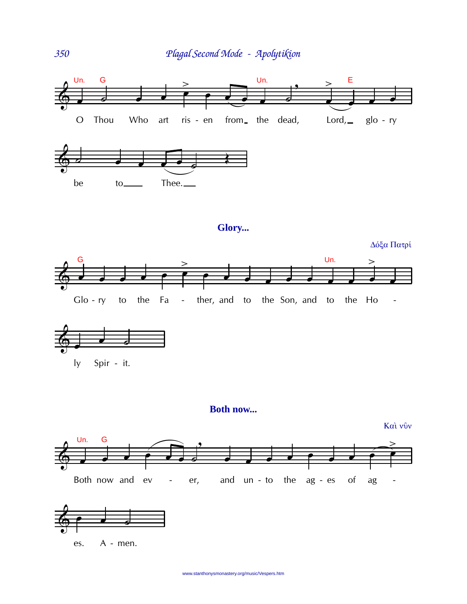

## Glory...

Δόξα Πατρί





## **Both now...**

Καὶ νῦν





es. A - men.